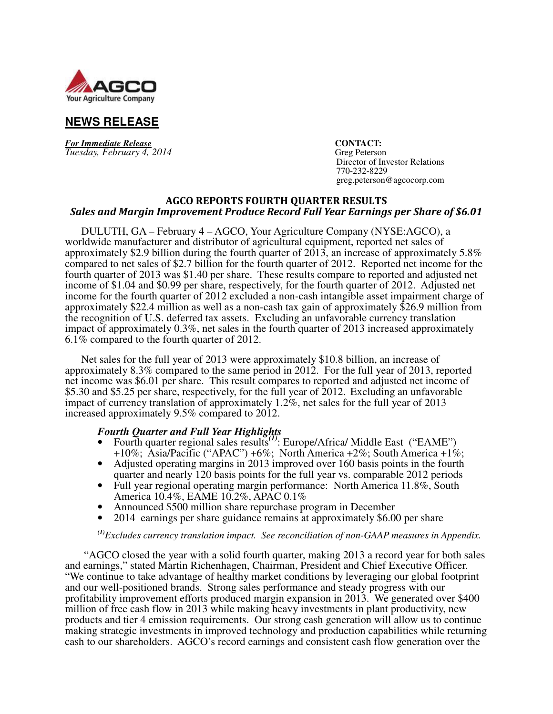

# **NEWS RELEASE**

*For Immediate Release* **CONTACT:** *Tuesday, February 4, 2014* Greg Peterson

 Director of Investor Relations 770-232-8229 greg.peterson@agcocorp.com

## AGCO REPORTS FOURTH QUARTER RESULTS Sales and Margin Improvement Produce Record Full Year Earnings per Share of \$6.01

DULUTH, GA – February 4 – AGCO, Your Agriculture Company (NYSE:AGCO), a worldwide manufacturer and distributor of agricultural equipment, reported net sales of approximately \$2.9 billion during the fourth quarter of 2013, an increase of approximately 5.8% compared to net sales of \$2.7 billion for the fourth quarter of 2012. Reported net income for the fourth quarter of 2013 was \$1.40 per share. These results compare to reported and adjusted net income of \$1.04 and \$0.99 per share, respectively, for the fourth quarter of 2012. Adjusted net income for the fourth quarter of 2012 excluded a non-cash intangible asset impairment charge of approximately \$22.4 million as well as a non-cash tax gain of approximately \$26.9 million from the recognition of U.S. deferred tax assets. Excluding an unfavorable currency translation impact of approximately 0.3%, net sales in the fourth quarter of 2013 increased approximately 6.1% compared to the fourth quarter of 2012.

Net sales for the full year of 2013 were approximately \$10.8 billion, an increase of approximately 8.3% compared to the same period in 2012. For the full year of 2013, reported net income was \$6.01 per share. This result compares to reported and adjusted net income of \$5.30 and \$5.25 per share, respectively, for the full year of 2012. Excluding an unfavorable impact of currency translation of approximately 1.2%, net sales for the full year of 2013 increased approximately 9.5% compared to 2012.

## *Fourth Quarter and Full Year Highlights*

- Fourth quarter regional sales results*(1)*: Europe/Africa/ Middle East ("EAME") +10%; Asia/Pacific ("APAC") +6%; North America +2%; South America +1%;
- Adjusted operating margins in 2013 improved over 160 basis points in the fourth quarter and nearly 120 basis points for the full year vs. comparable 2012 periods
- Full year regional operating margin performance: North America 11.8%, South America 10.4%, EAME 10.2%, APAC 0.1%
- Announced \$500 million share repurchase program in December
- 2014 earnings per share guidance remains at approximately \$6.00 per share

## *(1)Excludes currency translation impact. See reconciliation of non-GAAP measures in Appendix.*

 "AGCO closed the year with a solid fourth quarter, making 2013 a record year for both sales and earnings," stated Martin Richenhagen, Chairman, President and Chief Executive Officer. "We continue to take advantage of healthy market conditions by leveraging our global footprint and our well-positioned brands. Strong sales performance and steady progress with our profitability improvement efforts produced margin expansion in 2013. We generated over \$400 million of free cash flow in 2013 while making heavy investments in plant productivity, new products and tier 4 emission requirements. Our strong cash generation will allow us to continue making strategic investments in improved technology and production capabilities while returning cash to our shareholders. AGCO's record earnings and consistent cash flow generation over the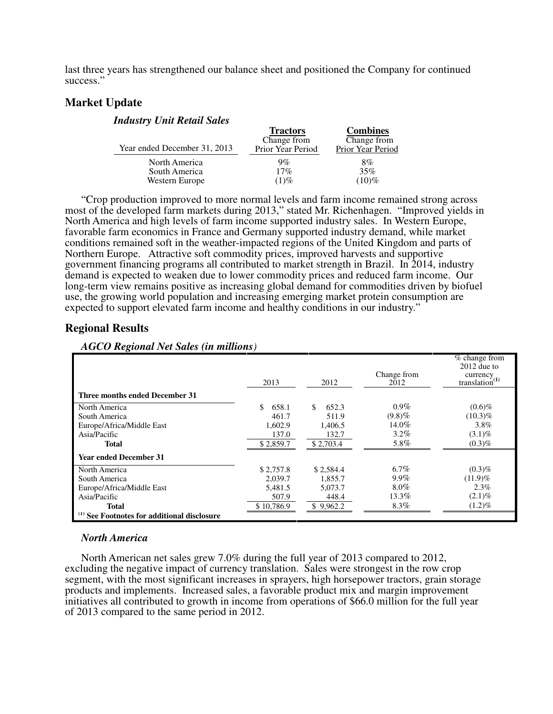last three years has strengthened our balance sheet and positioned the Company for continued success."

# **Market Update**

| <b>Industry Unit Retail Sales</b>                |                                                     |                                                     |
|--------------------------------------------------|-----------------------------------------------------|-----------------------------------------------------|
| Year ended December 31, 2013                     | <b>Tractors</b><br>Change from<br>Prior Year Period | <b>Combines</b><br>Change from<br>Prior Year Period |
| North America<br>South America<br>Western Europe | 9%<br>17%<br>$(1)\%$                                | 8%<br>35%<br>$(10)\%$                               |

"Crop production improved to more normal levels and farm income remained strong across most of the developed farm markets during 2013," stated Mr. Richenhagen. "Improved yields in North America and high levels of farm income supported industry sales. In Western Europe, favorable farm economics in France and Germany supported industry demand, while market conditions remained soft in the weather-impacted regions of the United Kingdom and parts of Northern Europe. Attractive soft commodity prices, improved harvests and supportive government financing programs all contributed to market strength in Brazil. In 2014, industry demand is expected to weaken due to lower commodity prices and reduced farm income. Our long-term view remains positive as increasing global demand for commodities driven by biofuel use, the growing world population and increasing emerging market protein consumption are expected to support elevated farm income and healthy conditions in our industry."

# **Regional Results**

|                                                        | 2013         | 2012        | Change from<br>2012 | $%$ change from<br>$2012$ due to<br>currency<br>translation $(1)$ |
|--------------------------------------------------------|--------------|-------------|---------------------|-------------------------------------------------------------------|
| Three months ended December 31                         |              |             |                     |                                                                   |
| North America                                          | \$.<br>658.1 | S.<br>652.3 | $0.9\%$             | $(0.6)\%$                                                         |
| South America                                          | 461.7        | 511.9       | $(9.8)\%$           | $(10.3)\%$                                                        |
| Europe/Africa/Middle East                              | 1.602.9      | 1,406.5     | 14.0%               | 3.8%                                                              |
| Asia/Pacific                                           | 137.0        | 132.7       | $3.2\%$             | $(3.1)\%$                                                         |
| Total                                                  | \$2,859.7    | \$2.703.4   | 5.8%                | $(0.3)\%$                                                         |
| <b>Year ended December 31</b>                          |              |             |                     |                                                                   |
| North America                                          | \$2,757.8    | \$2,584.4   | $6.7\%$             | $(0.3)\%$                                                         |
| South America                                          | 2,039.7      | 1,855.7     | $9.9\%$             | $(11.9)\%$                                                        |
| Europe/Africa/Middle East                              | 5.481.5      | 5.073.7     | $8.0\%$             | $2.3\%$                                                           |
| Asia/Pacific                                           | 507.9        | 448.4       | 13.3%               | $(2.1)\%$                                                         |
| Total                                                  | \$10,786.9   | \$9,962.2   | $8.3\%$             | $(1.2)\%$                                                         |
| <sup>(1)</sup> See Footnotes for additional disclosure |              |             |                     |                                                                   |

### *AGCO Regional Net Sales (in millions)*

### *North America*

North American net sales grew 7.0% during the full year of 2013 compared to 2012, excluding the negative impact of currency translation. Sales were strongest in the row crop segment, with the most significant increases in sprayers, high horsepower tractors, grain storage products and implements. Increased sales, a favorable product mix and margin improvement initiatives all contributed to growth in income from operations of \$66.0 million for the full year of 2013 compared to the same period in 2012.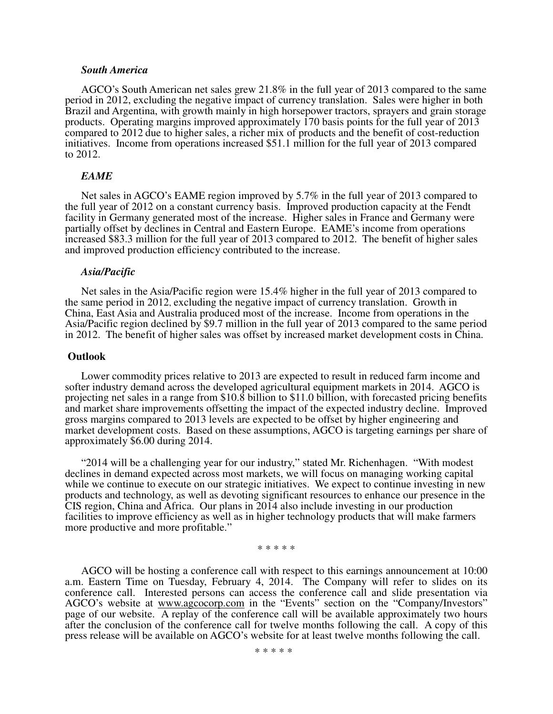### *South America*

AGCO's South American net sales grew 21.8% in the full year of 2013 compared to the same period in 2012, excluding the negative impact of currency translation. Sales were higher in both Brazil and Argentina, with growth mainly in high horsepower tractors, sprayers and grain storage products. Operating margins improved approximately 170 basis points for the full year of 2013 compared to 2012 due to higher sales, a richer mix of products and the benefit of cost-reduction initiatives. Income from operations increased \$51.1 million for the full year of 2013 compared to 2012.

#### *EAME*

Net sales in AGCO's EAME region improved by 5.7% in the full year of 2013 compared to the full year of 2012 on a constant currency basis. Improved production capacity at the Fendt facility in Germany generated most of the increase. Higher sales in France and Germany were partially offset by declines in Central and Eastern Europe. EAME's income from operations increased \$83.3 million for the full year of 2013 compared to 2012. The benefit of higher sales and improved production efficiency contributed to the increase.

#### *Asia/Pacific*

Net sales in the Asia/Pacific region were 15.4% higher in the full year of 2013 compared to the same period in 2012, excluding the negative impact of currency translation. Growth in China, East Asia and Australia produced most of the increase. Income from operations in the Asia/Pacific region declined by \$9.7 million in the full year of 2013 compared to the same period in 2012. The benefit of higher sales was offset by increased market development costs in China.

### **Outlook**

Lower commodity prices relative to 2013 are expected to result in reduced farm income and softer industry demand across the developed agricultural equipment markets in 2014. AGCO is projecting net sales in a range from \$10.8 billion to \$11.0 billion, with forecasted pricing benefits and market share improvements offsetting the impact of the expected industry decline. Improved gross margins compared to 2013 levels are expected to be offset by higher engineering and market development costs. Based on these assumptions, AGCO is targeting earnings per share of approximately \$6.00 during 2014.

"2014 will be a challenging year for our industry," stated Mr. Richenhagen. "With modest declines in demand expected across most markets, we will focus on managing working capital while we continue to execute on our strategic initiatives. We expect to continue investing in new products and technology, as well as devoting significant resources to enhance our presence in the CIS region, China and Africa. Our plans in 2014 also include investing in our production facilities to improve efficiency as well as in higher technology products that will make farmers more productive and more profitable."

\* \* \* \* \*

AGCO will be hosting a conference call with respect to this earnings announcement at 10:00 a.m. Eastern Time on Tuesday, February 4, 2014. The Company will refer to slides on its conference call. Interested persons can access the conference call and slide presentation via AGCO's website at www.agcocorp.com in the "Events" section on the "Company/Investors" page of our website. A replay of the conference call will be available approximately two hours after the conclusion of the conference call for twelve months following the call. A copy of this press release will be available on AGCO's website for at least twelve months following the call.

\* \* \* \* \*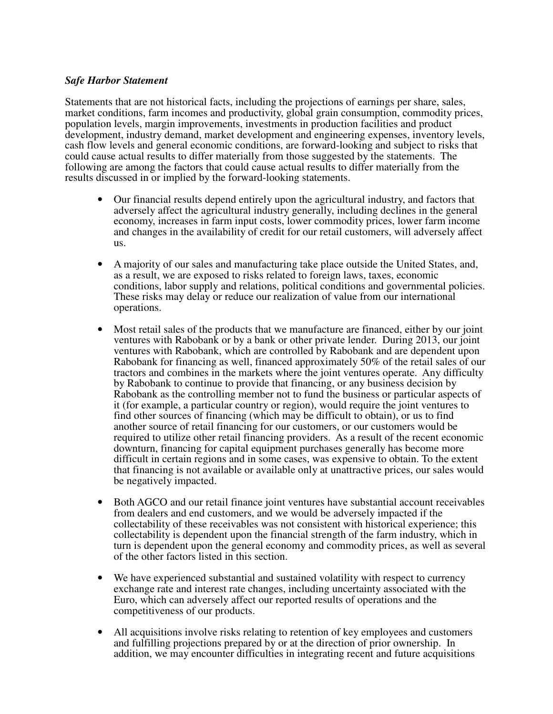## *Safe Harbor Statement*

Statements that are not historical facts, including the projections of earnings per share, sales, market conditions, farm incomes and productivity, global grain consumption, commodity prices, population levels, margin improvements, investments in production facilities and product development, industry demand, market development and engineering expenses, inventory levels, cash flow levels and general economic conditions, are forward-looking and subject to risks that could cause actual results to differ materially from those suggested by the statements. The following are among the factors that could cause actual results to differ materially from the results discussed in or implied by the forward-looking statements.

- Our financial results depend entirely upon the agricultural industry, and factors that adversely affect the agricultural industry generally, including declines in the general economy, increases in farm input costs, lower commodity prices, lower farm income and changes in the availability of credit for our retail customers, will adversely affect us.
- A majority of our sales and manufacturing take place outside the United States, and, as a result, we are exposed to risks related to foreign laws, taxes, economic conditions, labor supply and relations, political conditions and governmental policies. These risks may delay or reduce our realization of value from our international operations.
- Most retail sales of the products that we manufacture are financed, either by our joint ventures with Rabobank or by a bank or other private lender. During 2013, our joint ventures with Rabobank, which are controlled by Rabobank and are dependent upon Rabobank for financing as well, financed approximately 50% of the retail sales of our tractors and combines in the markets where the joint ventures operate. Any difficulty by Rabobank to continue to provide that financing, or any business decision by Rabobank as the controlling member not to fund the business or particular aspects of it (for example, a particular country or region), would require the joint ventures to find other sources of financing (which may be difficult to obtain), or us to find another source of retail financing for our customers, or our customers would be required to utilize other retail financing providers. As a result of the recent economic downturn, financing for capital equipment purchases generally has become more difficult in certain regions and in some cases, was expensive to obtain. To the extent that financing is not available or available only at unattractive prices, our sales would be negatively impacted.
- Both AGCO and our retail finance joint ventures have substantial account receivables from dealers and end customers, and we would be adversely impacted if the collectability of these receivables was not consistent with historical experience; this collectability is dependent upon the financial strength of the farm industry, which in turn is dependent upon the general economy and commodity prices, as well as several of the other factors listed in this section.
- We have experienced substantial and sustained volatility with respect to currency exchange rate and interest rate changes, including uncertainty associated with the Euro, which can adversely affect our reported results of operations and the competitiveness of our products.
- All acquisitions involve risks relating to retention of key employees and customers and fulfilling projections prepared by or at the direction of prior ownership. In addition, we may encounter difficulties in integrating recent and future acquisitions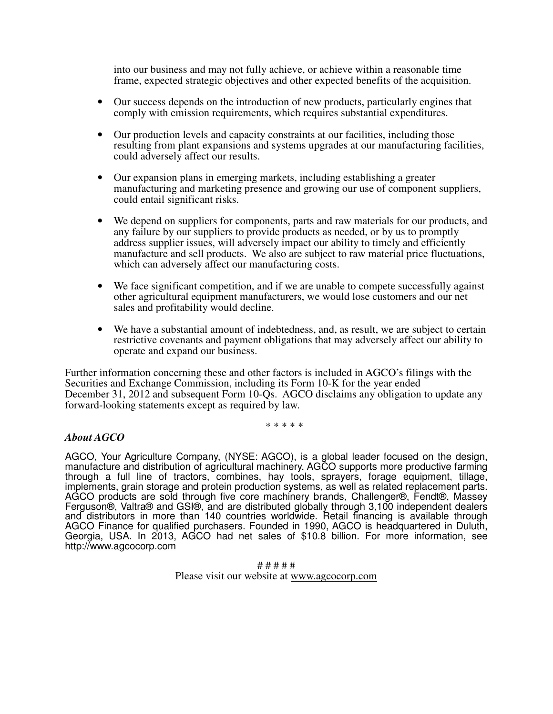into our business and may not fully achieve, or achieve within a reasonable time frame, expected strategic objectives and other expected benefits of the acquisition.

- Our success depends on the introduction of new products, particularly engines that comply with emission requirements, which requires substantial expenditures.
- Our production levels and capacity constraints at our facilities, including those resulting from plant expansions and systems upgrades at our manufacturing facilities, could adversely affect our results.
- Our expansion plans in emerging markets, including establishing a greater manufacturing and marketing presence and growing our use of component suppliers, could entail significant risks.
- We depend on suppliers for components, parts and raw materials for our products, and any failure by our suppliers to provide products as needed, or by us to promptly address supplier issues, will adversely impact our ability to timely and efficiently manufacture and sell products. We also are subject to raw material price fluctuations, which can adversely affect our manufacturing costs.
- We face significant competition, and if we are unable to compete successfully against other agricultural equipment manufacturers, we would lose customers and our net sales and profitability would decline.
- We have a substantial amount of indebtedness, and, as result, we are subject to certain restrictive covenants and payment obligations that may adversely affect our ability to operate and expand our business.

Further information concerning these and other factors is included in AGCO's filings with the Securities and Exchange Commission, including its Form 10-K for the year ended December 31, 2012 and subsequent Form 10-Qs. AGCO disclaims any obligation to update any forward-looking statements except as required by law.

\* \* \* \* \*

## *About AGCO*

AGCO, Your Agriculture Company, (NYSE: AGCO), is a global leader focused on the design, manufacture and distribution of agricultural machinery. AGCO supports more productive farming through a full line of tractors, combines, hay tools, sprayers, forage equipment, tillage, implements, grain storage and protein production systems, as well as related replacement parts. AGCO products are sold through five core machinery brands, Challenger®, Fendt®, Massey Ferguson®, Valtra® and GSI®, and are distributed globally through 3,100 independent dealers and distributors in more than 140 countries worldwide. Retail financing is available through AGCO Finance for qualified purchasers. Founded in 1990, AGCO is headquartered in Duluth, Georgia, USA. In 2013, AGCO had net sales of \$10.8 billion. For more information, see http://www.agcocorp.com

> # # # # # Please visit our website at www.agcocorp.com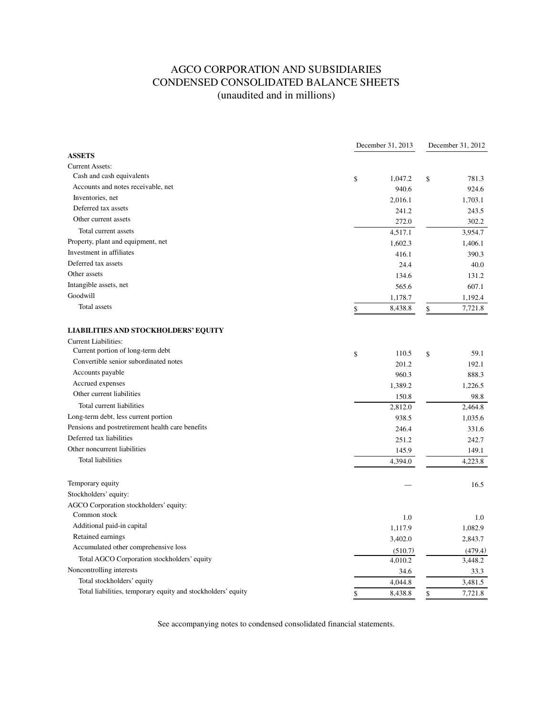# AGCO CORPORATION AND SUBSIDIARIES CONDENSED CONSOLIDATED BALANCE SHEETS (unaudited and in millions)

| <b>ASSETS</b><br><b>Current Assets:</b><br>Cash and cash equivalents<br>1,047.2<br>781.3<br>\$<br>\$<br>Accounts and notes receivable, net<br>940.6<br>924.6<br>Inventories, net<br>2,016.1<br>1,703.1<br>Deferred tax assets<br>241.2<br>243.5<br>Other current assets<br>272.0<br>302.2<br>Total current assets<br>4,517.1<br>3.954.7<br>Property, plant and equipment, net<br>1,602.3<br>1,406.1<br>Investment in affiliates<br>390.3<br>416.1<br>Deferred tax assets<br>24.4<br>40.0<br>Other assets<br>134.6<br>131.2<br>Intangible assets, net<br>565.6<br>607.1<br>Goodwill<br>1,178.7<br>1,192.4<br><b>Total assets</b><br>7,721.8<br>8,438.8<br>\$<br>\$<br><b>LIABILITIES AND STOCKHOLDERS' EQUITY</b><br><b>Current Liabilities:</b><br>Current portion of long-term debt<br>110.5<br>59.1<br>\$<br>\$ |                                       | December 31, 2013 | December 31, 2012 |  |  |
|-------------------------------------------------------------------------------------------------------------------------------------------------------------------------------------------------------------------------------------------------------------------------------------------------------------------------------------------------------------------------------------------------------------------------------------------------------------------------------------------------------------------------------------------------------------------------------------------------------------------------------------------------------------------------------------------------------------------------------------------------------------------------------------------------------------------|---------------------------------------|-------------------|-------------------|--|--|
|                                                                                                                                                                                                                                                                                                                                                                                                                                                                                                                                                                                                                                                                                                                                                                                                                   |                                       |                   |                   |  |  |
|                                                                                                                                                                                                                                                                                                                                                                                                                                                                                                                                                                                                                                                                                                                                                                                                                   |                                       |                   |                   |  |  |
|                                                                                                                                                                                                                                                                                                                                                                                                                                                                                                                                                                                                                                                                                                                                                                                                                   |                                       |                   |                   |  |  |
|                                                                                                                                                                                                                                                                                                                                                                                                                                                                                                                                                                                                                                                                                                                                                                                                                   |                                       |                   |                   |  |  |
|                                                                                                                                                                                                                                                                                                                                                                                                                                                                                                                                                                                                                                                                                                                                                                                                                   |                                       |                   |                   |  |  |
|                                                                                                                                                                                                                                                                                                                                                                                                                                                                                                                                                                                                                                                                                                                                                                                                                   |                                       |                   |                   |  |  |
|                                                                                                                                                                                                                                                                                                                                                                                                                                                                                                                                                                                                                                                                                                                                                                                                                   |                                       |                   |                   |  |  |
|                                                                                                                                                                                                                                                                                                                                                                                                                                                                                                                                                                                                                                                                                                                                                                                                                   |                                       |                   |                   |  |  |
|                                                                                                                                                                                                                                                                                                                                                                                                                                                                                                                                                                                                                                                                                                                                                                                                                   |                                       |                   |                   |  |  |
|                                                                                                                                                                                                                                                                                                                                                                                                                                                                                                                                                                                                                                                                                                                                                                                                                   |                                       |                   |                   |  |  |
|                                                                                                                                                                                                                                                                                                                                                                                                                                                                                                                                                                                                                                                                                                                                                                                                                   |                                       |                   |                   |  |  |
|                                                                                                                                                                                                                                                                                                                                                                                                                                                                                                                                                                                                                                                                                                                                                                                                                   |                                       |                   |                   |  |  |
|                                                                                                                                                                                                                                                                                                                                                                                                                                                                                                                                                                                                                                                                                                                                                                                                                   |                                       |                   |                   |  |  |
|                                                                                                                                                                                                                                                                                                                                                                                                                                                                                                                                                                                                                                                                                                                                                                                                                   |                                       |                   |                   |  |  |
|                                                                                                                                                                                                                                                                                                                                                                                                                                                                                                                                                                                                                                                                                                                                                                                                                   |                                       |                   |                   |  |  |
|                                                                                                                                                                                                                                                                                                                                                                                                                                                                                                                                                                                                                                                                                                                                                                                                                   |                                       |                   |                   |  |  |
|                                                                                                                                                                                                                                                                                                                                                                                                                                                                                                                                                                                                                                                                                                                                                                                                                   |                                       |                   |                   |  |  |
|                                                                                                                                                                                                                                                                                                                                                                                                                                                                                                                                                                                                                                                                                                                                                                                                                   |                                       |                   |                   |  |  |
| 201.2<br>192.1                                                                                                                                                                                                                                                                                                                                                                                                                                                                                                                                                                                                                                                                                                                                                                                                    | Convertible senior subordinated notes |                   |                   |  |  |
| Accounts payable<br>960.3<br>888.3                                                                                                                                                                                                                                                                                                                                                                                                                                                                                                                                                                                                                                                                                                                                                                                |                                       |                   |                   |  |  |
| Accrued expenses<br>1,389.2<br>1,226.5                                                                                                                                                                                                                                                                                                                                                                                                                                                                                                                                                                                                                                                                                                                                                                            |                                       |                   |                   |  |  |
| Other current liabilities<br>150.8<br>98.8                                                                                                                                                                                                                                                                                                                                                                                                                                                                                                                                                                                                                                                                                                                                                                        |                                       |                   |                   |  |  |
| Total current liabilities<br>2,464.8<br>2,812.0                                                                                                                                                                                                                                                                                                                                                                                                                                                                                                                                                                                                                                                                                                                                                                   |                                       |                   |                   |  |  |
| Long-term debt, less current portion<br>938.5<br>1,035.6                                                                                                                                                                                                                                                                                                                                                                                                                                                                                                                                                                                                                                                                                                                                                          |                                       |                   |                   |  |  |
| Pensions and postretirement health care benefits<br>246.4<br>331.6                                                                                                                                                                                                                                                                                                                                                                                                                                                                                                                                                                                                                                                                                                                                                |                                       |                   |                   |  |  |
| Deferred tax liabilities<br>251.2<br>242.7                                                                                                                                                                                                                                                                                                                                                                                                                                                                                                                                                                                                                                                                                                                                                                        |                                       |                   |                   |  |  |
| Other noncurrent liabilities<br>145.9<br>149.1                                                                                                                                                                                                                                                                                                                                                                                                                                                                                                                                                                                                                                                                                                                                                                    |                                       |                   |                   |  |  |
| Total liabilities<br>4.394.0<br>4,223.8                                                                                                                                                                                                                                                                                                                                                                                                                                                                                                                                                                                                                                                                                                                                                                           |                                       |                   |                   |  |  |
| Temporary equity<br>16.5                                                                                                                                                                                                                                                                                                                                                                                                                                                                                                                                                                                                                                                                                                                                                                                          |                                       |                   |                   |  |  |
| Stockholders' equity:                                                                                                                                                                                                                                                                                                                                                                                                                                                                                                                                                                                                                                                                                                                                                                                             |                                       |                   |                   |  |  |
| AGCO Corporation stockholders' equity:                                                                                                                                                                                                                                                                                                                                                                                                                                                                                                                                                                                                                                                                                                                                                                            |                                       |                   |                   |  |  |
| Common stock<br>1.0<br>1.0                                                                                                                                                                                                                                                                                                                                                                                                                                                                                                                                                                                                                                                                                                                                                                                        |                                       |                   |                   |  |  |
| Additional paid-in capital<br>1,117.9<br>1,082.9                                                                                                                                                                                                                                                                                                                                                                                                                                                                                                                                                                                                                                                                                                                                                                  |                                       |                   |                   |  |  |
| Retained earnings<br>3,402.0<br>2,843.7                                                                                                                                                                                                                                                                                                                                                                                                                                                                                                                                                                                                                                                                                                                                                                           |                                       |                   |                   |  |  |
| Accumulated other comprehensive loss<br>(479.4)<br>(510.7)                                                                                                                                                                                                                                                                                                                                                                                                                                                                                                                                                                                                                                                                                                                                                        |                                       |                   |                   |  |  |
| Total AGCO Corporation stockholders' equity<br>4,010.2<br>3,448.2                                                                                                                                                                                                                                                                                                                                                                                                                                                                                                                                                                                                                                                                                                                                                 |                                       |                   |                   |  |  |
| Noncontrolling interests<br>34.6<br>33.3                                                                                                                                                                                                                                                                                                                                                                                                                                                                                                                                                                                                                                                                                                                                                                          |                                       |                   |                   |  |  |
| Total stockholders' equity<br>4,044.8<br>3,481.5                                                                                                                                                                                                                                                                                                                                                                                                                                                                                                                                                                                                                                                                                                                                                                  |                                       |                   |                   |  |  |
| Total liabilities, temporary equity and stockholders' equity<br>8,438.8<br>7,721.8<br>\$<br>\$                                                                                                                                                                                                                                                                                                                                                                                                                                                                                                                                                                                                                                                                                                                    |                                       |                   |                   |  |  |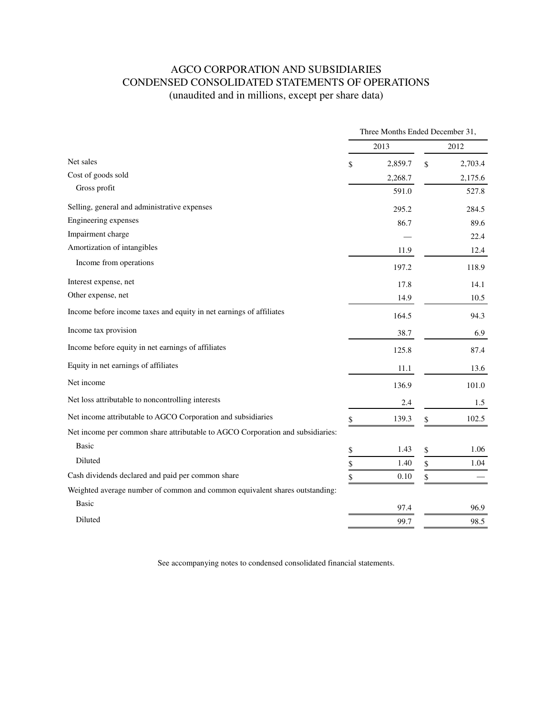# AGCO CORPORATION AND SUBSIDIARIES CONDENSED CONSOLIDATED STATEMENTS OF OPERATIONS (unaudited and in millions, except per share data)

|                                                                                | Three Months Ended December 31, |         |    |         |  |  |
|--------------------------------------------------------------------------------|---------------------------------|---------|----|---------|--|--|
|                                                                                |                                 | 2013    |    | 2012    |  |  |
| Net sales                                                                      | \$                              | 2,859.7 | \$ | 2,703.4 |  |  |
| Cost of goods sold                                                             |                                 | 2,268.7 |    | 2,175.6 |  |  |
| Gross profit                                                                   |                                 | 591.0   |    | 527.8   |  |  |
| Selling, general and administrative expenses                                   |                                 | 295.2   |    | 284.5   |  |  |
| Engineering expenses                                                           |                                 | 86.7    |    | 89.6    |  |  |
| Impairment charge                                                              |                                 |         |    | 22.4    |  |  |
| Amortization of intangibles                                                    |                                 | 11.9    |    | 12.4    |  |  |
| Income from operations                                                         |                                 | 197.2   |    | 118.9   |  |  |
| Interest expense, net                                                          |                                 | 17.8    |    | 14.1    |  |  |
| Other expense, net                                                             |                                 | 14.9    |    | 10.5    |  |  |
| Income before income taxes and equity in net earnings of affiliates            |                                 | 164.5   |    | 94.3    |  |  |
| Income tax provision                                                           |                                 | 38.7    |    | 6.9     |  |  |
| Income before equity in net earnings of affiliates                             |                                 | 125.8   |    | 87.4    |  |  |
| Equity in net earnings of affiliates                                           |                                 | 11.1    |    | 13.6    |  |  |
| Net income                                                                     |                                 | 136.9   |    | 101.0   |  |  |
| Net loss attributable to noncontrolling interests                              |                                 | 2.4     |    | 1.5     |  |  |
| Net income attributable to AGCO Corporation and subsidiaries                   | \$                              | 139.3   | \$ | 102.5   |  |  |
| Net income per common share attributable to AGCO Corporation and subsidiaries: |                                 |         |    |         |  |  |
| <b>Basic</b>                                                                   | \$                              | 1.43    | \$ | 1.06    |  |  |
| Diluted                                                                        | \$                              | 1.40    | \$ | 1.04    |  |  |
| Cash dividends declared and paid per common share                              | \$                              | 0.10    | \$ |         |  |  |
| Weighted average number of common and common equivalent shares outstanding:    |                                 |         |    |         |  |  |
| Basic                                                                          |                                 | 97.4    |    | 96.9    |  |  |
| Diluted                                                                        |                                 | 99.7    |    | 98.5    |  |  |
|                                                                                |                                 |         |    |         |  |  |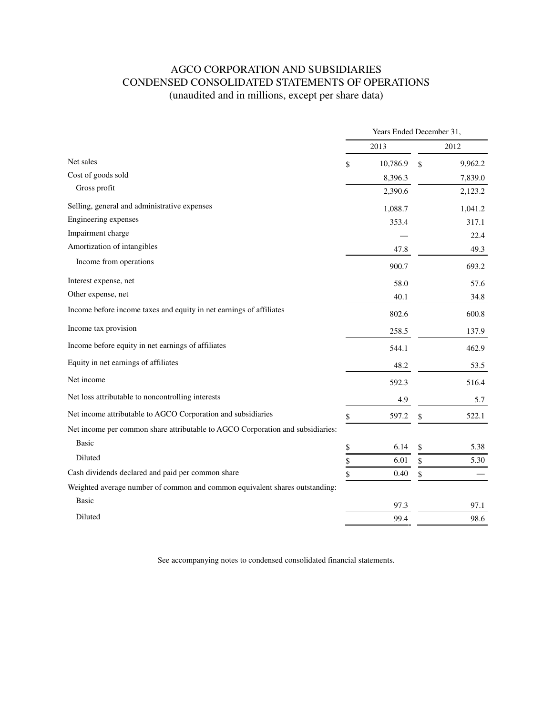# AGCO CORPORATION AND SUBSIDIARIES CONDENSED CONSOLIDATED STATEMENTS OF OPERATIONS (unaudited and in millions, except per share data)

|                                                                                | Years Ended December 31, |          |    |         |  |  |
|--------------------------------------------------------------------------------|--------------------------|----------|----|---------|--|--|
|                                                                                |                          | 2013     |    | 2012    |  |  |
| Net sales                                                                      | \$                       | 10,786.9 | \$ | 9,962.2 |  |  |
| Cost of goods sold                                                             |                          | 8,396.3  |    | 7,839.0 |  |  |
| Gross profit                                                                   |                          | 2,390.6  |    | 2,123.2 |  |  |
| Selling, general and administrative expenses                                   |                          | 1,088.7  |    | 1,041.2 |  |  |
| Engineering expenses                                                           |                          | 353.4    |    | 317.1   |  |  |
| Impairment charge                                                              |                          |          |    | 22.4    |  |  |
| Amortization of intangibles                                                    |                          | 47.8     |    | 49.3    |  |  |
| Income from operations                                                         |                          | 900.7    |    | 693.2   |  |  |
| Interest expense, net                                                          |                          | 58.0     |    | 57.6    |  |  |
| Other expense, net                                                             |                          | 40.1     |    | 34.8    |  |  |
| Income before income taxes and equity in net earnings of affiliates            |                          | 802.6    |    | 600.8   |  |  |
| Income tax provision                                                           |                          | 258.5    |    | 137.9   |  |  |
| Income before equity in net earnings of affiliates                             |                          | 544.1    |    | 462.9   |  |  |
| Equity in net earnings of affiliates                                           |                          | 48.2     |    | 53.5    |  |  |
| Net income                                                                     |                          | 592.3    |    | 516.4   |  |  |
| Net loss attributable to noncontrolling interests                              |                          | 4.9      |    | 5.7     |  |  |
| Net income attributable to AGCO Corporation and subsidiaries                   | \$                       | 597.2    | \$ | 522.1   |  |  |
| Net income per common share attributable to AGCO Corporation and subsidiaries: |                          |          |    |         |  |  |
| <b>Basic</b>                                                                   | \$                       | 6.14     | \$ | 5.38    |  |  |
| Diluted                                                                        | \$                       | 6.01     | \$ | 5.30    |  |  |
| Cash dividends declared and paid per common share                              | \$                       | 0.40     | \$ |         |  |  |
| Weighted average number of common and common equivalent shares outstanding:    |                          |          |    |         |  |  |
| Basic                                                                          |                          | 97.3     |    | 97.1    |  |  |
| Diluted                                                                        |                          | 99.4     |    | 98.6    |  |  |
|                                                                                |                          |          |    |         |  |  |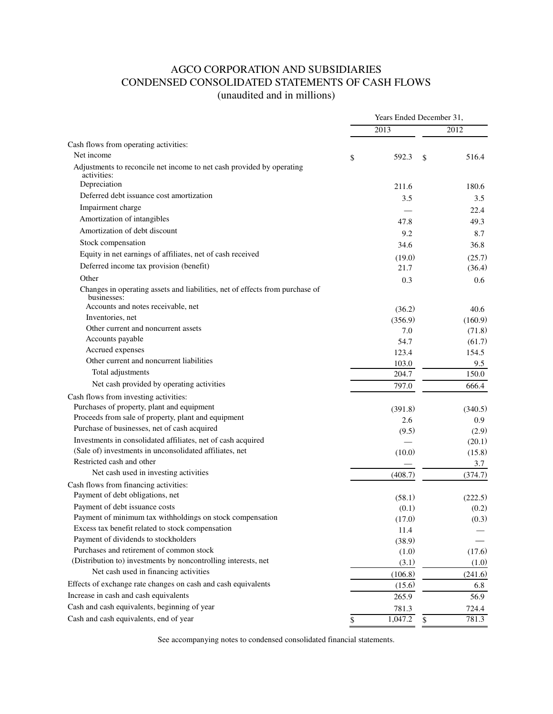# AGCO CORPORATION AND SUBSIDIARIES CONDENSED CONSOLIDATED STATEMENTS OF CASH FLOWS (unaudited and in millions)

|                                                                                             | Years Ended December 31, |             |
|---------------------------------------------------------------------------------------------|--------------------------|-------------|
|                                                                                             | 2013                     | 2012        |
| Cash flows from operating activities:                                                       |                          |             |
| Net income                                                                                  | \$<br>592.3              | \$<br>516.4 |
| Adjustments to reconcile net income to net cash provided by operating<br>activities:        |                          |             |
| Depreciation                                                                                | 211.6                    | 180.6       |
| Deferred debt issuance cost amortization                                                    | 3.5                      | 3.5         |
| Impairment charge                                                                           |                          | 22.4        |
| Amortization of intangibles                                                                 | 47.8                     | 49.3        |
| Amortization of debt discount                                                               | 9.2                      | 8.7         |
| Stock compensation                                                                          | 34.6                     | 36.8        |
| Equity in net earnings of affiliates, net of cash received                                  | (19.0)                   | (25.7)      |
| Deferred income tax provision (benefit)                                                     | 21.7                     | (36.4)      |
| Other                                                                                       | 0.3                      | 0.6         |
| Changes in operating assets and liabilities, net of effects from purchase of<br>businesses: |                          |             |
| Accounts and notes receivable, net                                                          | (36.2)                   | 40.6        |
| Inventories, net                                                                            | (356.9)                  | (160.9)     |
| Other current and noncurrent assets                                                         | 7.0                      | (71.8)      |
| Accounts payable                                                                            | 54.7                     | (61.7)      |
| Accrued expenses                                                                            | 123.4                    | 154.5       |
| Other current and noncurrent liabilities                                                    | 103.0                    | 9.5         |
| Total adjustments                                                                           | 204.7                    | 150.0       |
| Net cash provided by operating activities                                                   | 797.0                    | 666.4       |
| Cash flows from investing activities:                                                       |                          |             |
| Purchases of property, plant and equipment                                                  | (391.8)                  | (340.5)     |
| Proceeds from sale of property, plant and equipment                                         | 2.6                      | 0.9         |
| Purchase of businesses, net of cash acquired                                                | (9.5)                    | (2.9)       |
| Investments in consolidated affiliates, net of cash acquired                                |                          | (20.1)      |
| (Sale of) investments in unconsolidated affiliates, net                                     | (10.0)                   | (15.8)      |
| Restricted cash and other                                                                   |                          | 3.7         |
| Net cash used in investing activities                                                       | (408.7)                  | (374.7)     |
| Cash flows from financing activities:                                                       |                          |             |
| Payment of debt obligations, net                                                            | (58.1)                   | (222.5)     |
| Payment of debt issuance costs                                                              | (0.1)                    | (0.2)       |
| Payment of minimum tax withholdings on stock compensation                                   | (17.0)                   | (0.3)       |
| Excess tax benefit related to stock compensation                                            | 11.4                     |             |
| Payment of dividends to stockholders                                                        | (38.9)                   |             |
| Purchases and retirement of common stock                                                    | (1.0)                    | (17.6)      |
| (Distribution to) investments by noncontrolling interests, net                              | (3.1)                    | (1.0)       |
| Net cash used in financing activities                                                       | (106.8)                  | (241.6)     |
| Effects of exchange rate changes on cash and cash equivalents                               | (15.6)                   | 6.8         |
| Increase in cash and cash equivalents                                                       | 265.9                    | 56.9        |
| Cash and cash equivalents, beginning of year                                                | 781.3                    | 724.4       |
| Cash and cash equivalents, end of year                                                      | \$<br>1,047.2            | \$<br>781.3 |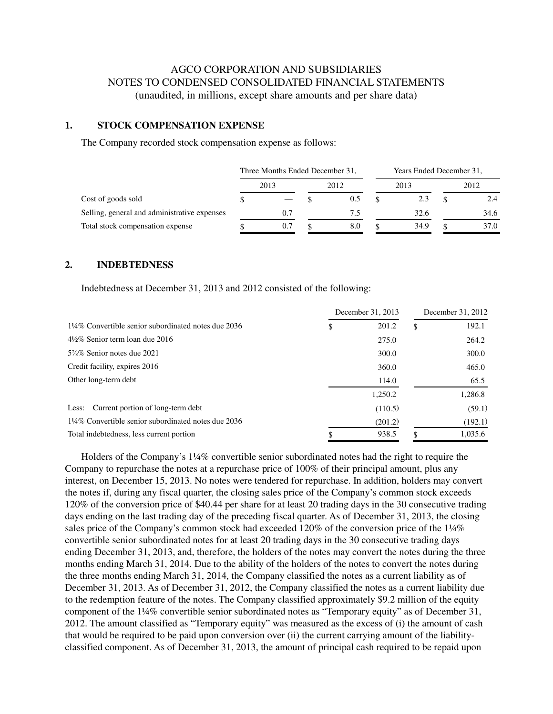## AGCO CORPORATION AND SUBSIDIARIES NOTES TO CONDENSED CONSOLIDATED FINANCIAL STATEMENTS (unaudited, in millions, except share amounts and per share data)

### **1. STOCK COMPENSATION EXPENSE**

The Company recorded stock compensation expense as follows:

|                                              | Three Months Ended December 31, |      | Years Ended December 31, |      |      |      |      |  |
|----------------------------------------------|---------------------------------|------|--------------------------|------|------|------|------|--|
| Cost of goods sold                           | 2013                            | 2012 |                          | 2013 |      | 2012 |      |  |
|                                              |                                 |      | 0.5                      |      |      |      | 2.4  |  |
| Selling, general and administrative expenses | 0.7                             |      |                          |      | 32.6 |      | 34.6 |  |
| Total stock compensation expense             | 0.7                             |      | 8.0                      |      | 34.9 |      | 37.0 |  |

### **2. INDEBTEDNESS**

Indebtedness at December 31, 2013 and 2012 consisted of the following:

|                                                    | December 31, 2013 | December 31, 2012 |
|----------------------------------------------------|-------------------|-------------------|
| 1¼% Convertible senior subordinated notes due 2036 | \$<br>201.2       | \$<br>192.1       |
| $4\frac{1}{2}\%$ Senior term loan due 2016         | 275.0             | 264.2             |
| $5\%$ % Senior notes due 2021                      | 300.0             | 300.0             |
| Credit facility, expires 2016                      | 360.0             | 465.0             |
| Other long-term debt                               | 114.0             | 65.5              |
|                                                    | 1,250.2           | 1,286.8           |
| Current portion of long-term debt<br>Less:         | (110.5)           | (59.1)            |
| 1¼% Convertible senior subordinated notes due 2036 | (201.2)           | (192.1)           |
| Total indebtedness, less current portion           | 938.5             | \$<br>1,035.6     |

Holders of the Company's 1¼% convertible senior subordinated notes had the right to require the Company to repurchase the notes at a repurchase price of 100% of their principal amount, plus any interest, on December 15, 2013. No notes were tendered for repurchase. In addition, holders may convert the notes if, during any fiscal quarter, the closing sales price of the Company's common stock exceeds 120% of the conversion price of \$40.44 per share for at least 20 trading days in the 30 consecutive trading days ending on the last trading day of the preceding fiscal quarter. As of December 31, 2013, the closing sales price of the Company's common stock had exceeded 120% of the conversion price of the 1¼% convertible senior subordinated notes for at least 20 trading days in the 30 consecutive trading days ending December 31, 2013, and, therefore, the holders of the notes may convert the notes during the three months ending March 31, 2014. Due to the ability of the holders of the notes to convert the notes during the three months ending March 31, 2014, the Company classified the notes as a current liability as of December 31, 2013. As of December 31, 2012, the Company classified the notes as a current liability due to the redemption feature of the notes. The Company classified approximately \$9.2 million of the equity component of the 1¼% convertible senior subordinated notes as "Temporary equity" as of December 31, 2012. The amount classified as "Temporary equity" was measured as the excess of (i) the amount of cash that would be required to be paid upon conversion over (ii) the current carrying amount of the liabilityclassified component. As of December 31, 2013, the amount of principal cash required to be repaid upon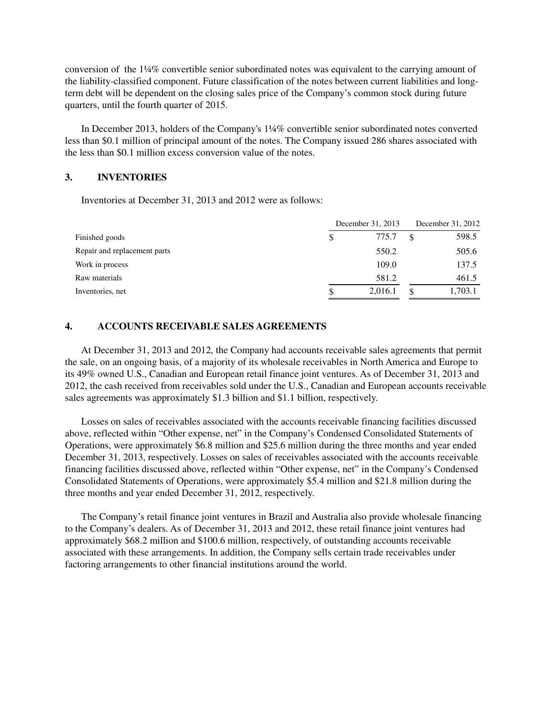conversion of the 1¼% convertible senior subordinated notes was equivalent to the carrying amount of the liability-classified component. Future classification of the notes between current liabilities and longterm debt will be dependent on the closing sales price of the Company's common stock during future quarters, until the fourth quarter of 2015.

In December 2013, holders of the Company's 1¼% convertible senior subordinated notes converted less than \$0.1 million of principal amount of the notes. The Company issued 286 shares associated with the less than \$0.1 million excess conversion value of the notes.

### **3. INVENTORIES**

Inventories at December 31, 2013 and 2012 were as follows:

|                              |    | December 31, 2013 |               |         |  |
|------------------------------|----|-------------------|---------------|---------|--|
| Finished goods               |    | 775.7             | <sup>\$</sup> | 598.5   |  |
| Repair and replacement parts |    | 550.2             |               | 505.6   |  |
| Work in process              |    | 109.0             |               | 137.5   |  |
| Raw materials                |    | 581.2             |               | 461.5   |  |
| Inventories, net             | S. | 2,016.1           | S             | 1,703.1 |  |

## **4. ACCOUNTS RECEIVABLE SALES AGREEMENTS**

At December 31, 2013 and 2012, the Company had accounts receivable sales agreements that permit the sale, on an ongoing basis, of a majority of its wholesale receivables in North America and Europe to its 49% owned U.S., Canadian and European retail finance joint ventures. As of December 31, 2013 and 2012, the cash received from receivables sold under the U.S., Canadian and European accounts receivable sales agreements was approximately \$1.3 billion and \$1.1 billion, respectively.

 Losses on sales of receivables associated with the accounts receivable financing facilities discussed above, reflected within "Other expense, net" in the Company's Condensed Consolidated Statements of Operations, were approximately \$6.8 million and \$25.6 million during the three months and year ended December 31, 2013, respectively. Losses on sales of receivables associated with the accounts receivable financing facilities discussed above, reflected within "Other expense, net" in the Company's Condensed Consolidated Statements of Operations, were approximately \$5.4 million and \$21.8 million during the three months and year ended December 31, 2012, respectively.

The Company's retail finance joint ventures in Brazil and Australia also provide wholesale financing to the Company's dealers. As of December 31, 2013 and 2012, these retail finance joint ventures had approximately \$68.2 million and \$100.6 million, respectively, of outstanding accounts receivable associated with these arrangements. In addition, the Company sells certain trade receivables under factoring arrangements to other financial institutions around the world.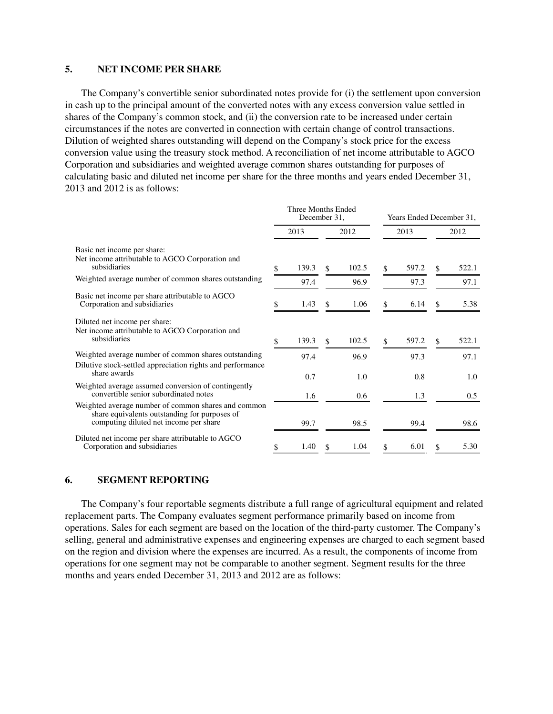## **5. NET INCOME PER SHARE**

The Company's convertible senior subordinated notes provide for (i) the settlement upon conversion in cash up to the principal amount of the converted notes with any excess conversion value settled in shares of the Company's common stock, and (ii) the conversion rate to be increased under certain circumstances if the notes are converted in connection with certain change of control transactions. Dilution of weighted shares outstanding will depend on the Company's stock price for the excess conversion value using the treasury stock method. A reconciliation of net income attributable to AGCO Corporation and subsidiaries and weighted average common shares outstanding for purposes of calculating basic and diluted net income per share for the three months and years ended December 31, 2013 and 2012 is as follows:

|                                                                                                                                                |    | Three Months Ended<br>December 31. |    |       | Years Ended December 31, |    |       |
|------------------------------------------------------------------------------------------------------------------------------------------------|----|------------------------------------|----|-------|--------------------------|----|-------|
|                                                                                                                                                |    | 2013                               |    | 2012  | 2013                     |    | 2012  |
| Basic net income per share:<br>Net income attributable to AGCO Corporation and<br>subsidiaries                                                 | \$ | 139.3                              | \$ | 102.5 | \$<br>597.2              | \$ | 522.1 |
| Weighted average number of common shares outstanding                                                                                           |    | 97.4                               |    | 96.9  | 97.3                     |    | 97.1  |
| Basic net income per share attributable to AGCO<br>Corporation and subsidiaries                                                                |    | 1.43                               | £. | 1.06  | \$<br>6.14               | S. | 5.38  |
| Diluted net income per share:<br>Net income attributable to AGCO Corporation and<br>subsidiaries                                               | \$ | 139.3                              | \$ | 102.5 | \$<br>597.2              | \$ | 522.1 |
| Weighted average number of common shares outstanding                                                                                           |    | 97.4                               |    | 96.9  | 97.3                     |    | 97.1  |
| Dilutive stock-settled appreciation rights and performance<br>share awards                                                                     |    | 0.7                                |    | 1.0   | 0.8                      |    | 1.0   |
| Weighted average assumed conversion of contingently<br>convertible senior subordinated notes                                                   |    | 1.6                                |    | 0.6   | 1.3                      |    | 0.5   |
| Weighted average number of common shares and common<br>share equivalents outstanding for purposes of<br>computing diluted net income per share |    | 99.7                               |    | 98.5  | 99.4                     |    | 98.6  |
| Diluted net income per share attributable to AGCO<br>Corporation and subsidiaries                                                              | S  | 1.40                               |    | 1.04  | \$<br>6.01               |    | 5.30  |

### **6. SEGMENT REPORTING**

The Company's four reportable segments distribute a full range of agricultural equipment and related replacement parts. The Company evaluates segment performance primarily based on income from operations. Sales for each segment are based on the location of the third-party customer. The Company's selling, general and administrative expenses and engineering expenses are charged to each segment based on the region and division where the expenses are incurred. As a result, the components of income from operations for one segment may not be comparable to another segment. Segment results for the three months and years ended December 31, 2013 and 2012 are as follows: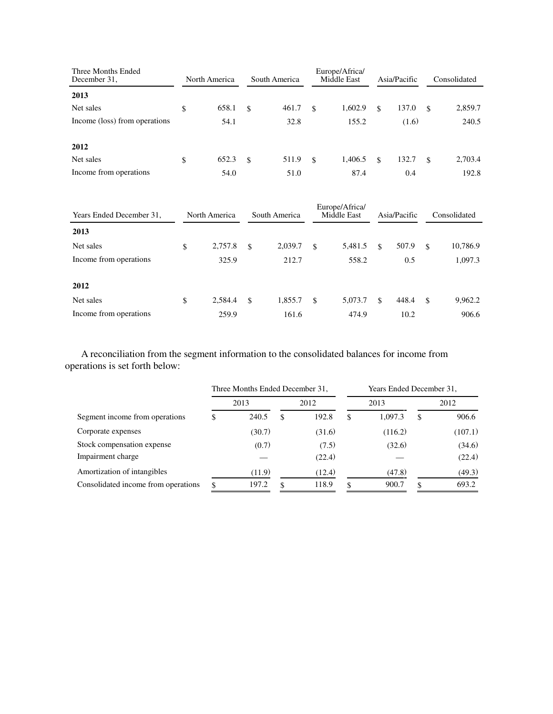| Three Months Ended<br>December 31, |    | North America |     | South America | Europe/Africa/<br>Middle East |         | Asia/Pacific |       | Consolidated |         |
|------------------------------------|----|---------------|-----|---------------|-------------------------------|---------|--------------|-------|--------------|---------|
| 2013                               |    |               |     |               |                               |         |              |       |              |         |
| Net sales                          | \$ | 658.1         | \$. | 461.7         | \$                            | 1.602.9 | S            | 137.0 | -S           | 2,859.7 |
| Income (loss) from operations      |    | 54.1          |     | 32.8          |                               | 155.2   |              | (1.6) |              | 240.5   |
| 2012                               |    |               |     |               |                               |         |              |       |              |         |
| Net sales                          | \$ | 652.3         | -S  | 511.9         | \$.                           | 1,406.5 | \$           | 132.7 | \$.          | 2,703.4 |
| Income from operations             |    | 54.0          |     | 51.0          |                               | 87.4    |              | 0.4   |              | 192.8   |

| Years Ended December 31, | North America |               | South America |     |         |     |       |               | Europe/Africa/<br>Middle East |  |  |  | Asia/Pacific |  | Consolidated |  |
|--------------------------|---------------|---------------|---------------|-----|---------|-----|-------|---------------|-------------------------------|--|--|--|--------------|--|--------------|--|
| 2013                     |               |               |               |     |         |     |       |               |                               |  |  |  |              |  |              |  |
| Net sales                | \$<br>2,757.8 | -S            | 2,039.7       | \$. | 5,481.5 | \$. | 507.9 | \$.           | 10,786.9                      |  |  |  |              |  |              |  |
| Income from operations   | 325.9         |               | 212.7         |     | 558.2   |     | 0.5   |               | 1,097.3                       |  |  |  |              |  |              |  |
| 2012                     |               |               |               |     |         |     |       |               |                               |  |  |  |              |  |              |  |
| Net sales                | \$<br>2.584.4 | <sup>\$</sup> | 1,855.7       | \$  | 5.073.7 | \$  | 448.4 | <sup>\$</sup> | 9,962.2                       |  |  |  |              |  |              |  |
| Income from operations   | 259.9         |               | 161.6         |     | 474.9   |     | 10.2  |               | 906.6                         |  |  |  |              |  |              |  |

A reconciliation from the segment information to the consolidated balances for income from operations is set forth below:

|                                     |   | Three Months Ended December 31, |     |        | Years Ended December 31, |         |      |         |  |  |  |
|-------------------------------------|---|---------------------------------|-----|--------|--------------------------|---------|------|---------|--|--|--|
|                                     |   | 2013                            |     | 2012   |                          | 2013    | 2012 |         |  |  |  |
| Segment income from operations      | D | 240.5                           | \$  | 192.8  | \$                       | 1,097.3 | \$   | 906.6   |  |  |  |
| Corporate expenses                  |   | (30.7)                          |     | (31.6) |                          | (116.2) |      | (107.1) |  |  |  |
| Stock compensation expense          |   | (0.7)                           |     | (7.5)  |                          | (32.6)  |      | (34.6)  |  |  |  |
| Impairment charge                   |   |                                 |     | (22.4) |                          |         |      | (22.4)  |  |  |  |
| Amortization of intangibles         |   | (11.9)                          |     | (12.4) |                          | (47.8)  |      | (49.3)  |  |  |  |
| Consolidated income from operations |   | 197.2                           | \$. | 118.9  | \$                       | 900.7   | \$   | 693.2   |  |  |  |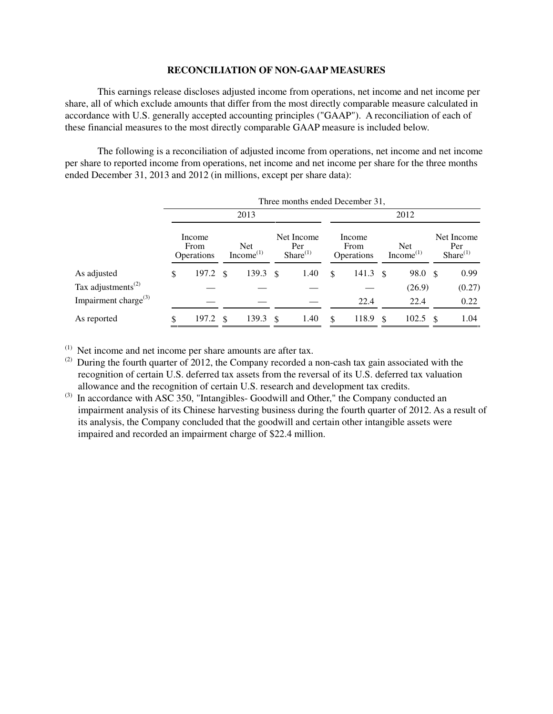### **RECONCILIATION OF NON-GAAP MEASURES**

 This earnings release discloses adjusted income from operations, net income and net income per share, all of which exclude amounts that differ from the most directly comparable measure calculated in accordance with U.S. generally accepted accounting principles ("GAAP"). A reconciliation of each of these financial measures to the most directly comparable GAAP measure is included below.

 The following is a reconciliation of adjusted income from operations, net income and net income per share to reported income from operations, net income and net income per share for the three months ended December 31, 2013 and 2012 (in millions, except per share data):

|                                             | Three months ended December 31, |  |                                     |     |                                    |    |                              |  |                                     |      |                                    |  |  |
|---------------------------------------------|---------------------------------|--|-------------------------------------|-----|------------------------------------|----|------------------------------|--|-------------------------------------|------|------------------------------------|--|--|
|                                             | 2013                            |  |                                     |     |                                    |    | 2012                         |  |                                     |      |                                    |  |  |
|                                             | Income<br>From<br>Operations    |  | <b>Net</b><br>Income <sup>(1)</sup> |     | Net Income<br>Per<br>$Share^{(1)}$ |    | Income<br>From<br>Operations |  | <b>Net</b><br>Income <sup>(1)</sup> |      | Net Income<br>Per<br>$Share^{(1)}$ |  |  |
| As adjusted                                 | \$<br>$197.2 \text{ }$ \$       |  | 139.3                               | -\$ | 1.40                               | \$ | $141.3 \text{ }$ \$          |  | 98.0                                | - \$ | 0.99                               |  |  |
| Tax adjustments <sup><math>(2)</math></sup> |                                 |  |                                     |     |                                    |    |                              |  | (26.9)                              |      | (0.27)                             |  |  |
| Impairment charge <sup>(3)</sup>            |                                 |  |                                     |     |                                    |    | 22.4                         |  | 22.4                                |      | 0.22                               |  |  |
| As reported                                 | \$<br>$197.2 \text{ }$          |  | 139.3                               | -\$ | 1.40                               | \$ | 118.9 $\frac{1}{2}$          |  | $102.5$ \$                          |      | 1.04                               |  |  |

 $(1)$  Net income and net income per share amounts are after tax.

 $^{(2)}$  During the fourth quarter of 2012, the Company recorded a non-cash tax gain associated with the recognition of certain U.S. deferred tax assets from the reversal of its U.S. deferred tax valuation allowance and the recognition of certain U.S. research and development tax credits.

(3) In accordance with ASC 350, "Intangibles- Goodwill and Other," the Company conducted an impairment analysis of its Chinese harvesting business during the fourth quarter of 2012. As a result of its analysis, the Company concluded that the goodwill and certain other intangible assets were impaired and recorded an impairment charge of \$22.4 million.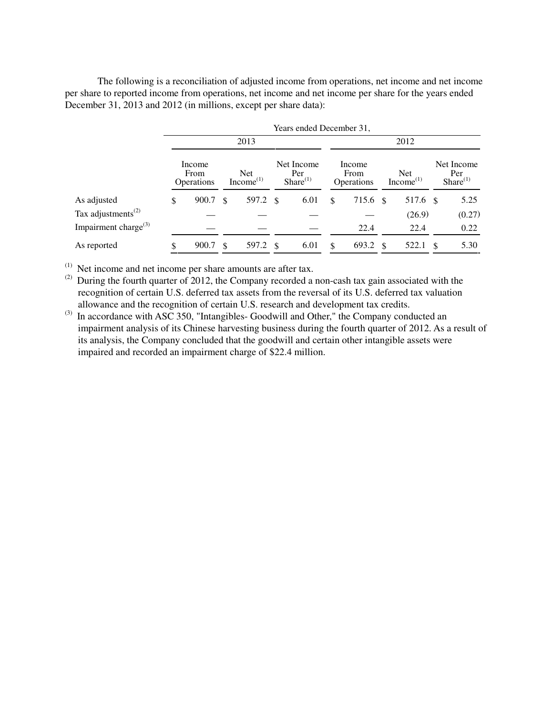The following is a reconciliation of adjusted income from operations, net income and net income per share to reported income from operations, net income and net income per share for the years ended December 31, 2013 and 2012 (in millions, except per share data):

|                                             | Years ended December 31,     |      |                                     |      |                                  |    |                              |  |                                     |               |                                     |
|---------------------------------------------|------------------------------|------|-------------------------------------|------|----------------------------------|----|------------------------------|--|-------------------------------------|---------------|-------------------------------------|
|                                             |                              | 2013 |                                     | 2012 |                                  |    |                              |  |                                     |               |                                     |
|                                             | Income<br>From<br>Operations |      | <b>Net</b><br>Income <sup>(1)</sup> |      | Net Income<br>Per<br>Share $(1)$ |    | Income<br>From<br>Operations |  | <b>Net</b><br>Income <sup>(1)</sup> |               | Net Income<br>Per<br>Share $^{(1)}$ |
| As adjusted                                 | \$<br>900.7                  | - \$ | 597.2                               | -\$  | 6.01                             | \$ | 715.6 \$                     |  | 517.6 \$                            |               | 5.25                                |
| Tax adjustments <sup><math>(2)</math></sup> |                              |      |                                     |      |                                  |    |                              |  | (26.9)                              |               | (0.27)                              |
| Impairment charge <sup>(3)</sup>            |                              |      |                                     |      |                                  |    | 22.4                         |  | 22.4                                |               | 0.22                                |
| As reported                                 | 900.7 \$                     |      | 597.2                               | -\$  | 6.01                             | \$ | 693.2 \$                     |  | 522.1                               | $\mathcal{S}$ | 5.30                                |

 $(1)$  Net income and net income per share amounts are after tax.

(2) During the fourth quarter of 2012, the Company recorded a non-cash tax gain associated with the recognition of certain U.S. deferred tax assets from the reversal of its U.S. deferred tax valuation allowance and the recognition of certain U.S. research and development tax credits.

(3) In accordance with ASC 350, "Intangibles- Goodwill and Other," the Company conducted an impairment analysis of its Chinese harvesting business during the fourth quarter of 2012. As a result of its analysis, the Company concluded that the goodwill and certain other intangible assets were impaired and recorded an impairment charge of \$22.4 million.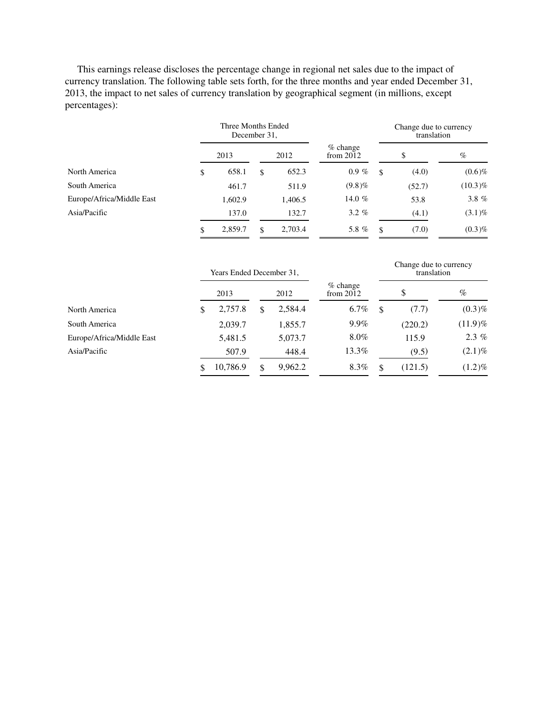This earnings release discloses the percentage change in regional net sales due to the impact of currency translation. The following table sets forth, for the three months and year ended December 31, 2013, the impact to net sales of currency translation by geographical segment (in millions, except percentages):

|                           | Three Months Ended<br>December 31, |               |                           | Change due to currency<br>translation |        |            |  |
|---------------------------|------------------------------------|---------------|---------------------------|---------------------------------------|--------|------------|--|
|                           | 2013                               | 2012          | $%$ change<br>from $2012$ |                                       | \$     | $\%$       |  |
| North America             | \$<br>658.1                        | \$<br>652.3   | $0.9 \%$                  | \$                                    | (4.0)  | $(0.6)\%$  |  |
| South America             | 461.7                              | 511.9         | $(9.8)\%$                 |                                       | (52.7) | $(10.3)\%$ |  |
| Europe/Africa/Middle East | 1.602.9                            | 1,406.5       | 14.0 $%$                  |                                       | 53.8   | 3.8 $%$    |  |
| Asia/Pacific              | 137.0                              | 132.7         | $3.2 \%$                  |                                       | (4.1)  | $(3.1)\%$  |  |
|                           | \$<br>2,859.7                      | \$<br>2.703.4 | 5.8 %                     | \$.                                   | (7.0)  | $(0.3)\%$  |  |

|                           |    | Years Ended December 31, |               |                           |               | Change due to currency<br>translation |           |  |  |
|---------------------------|----|--------------------------|---------------|---------------------------|---------------|---------------------------------------|-----------|--|--|
|                           |    | 2013                     | 2012          | $%$ change<br>from $2012$ |               | \$                                    | $\%$      |  |  |
| North America             | S  | 2,757.8                  | \$<br>2,584.4 | $6.7\%$                   | <sup>\$</sup> | (7.7)                                 | $(0.3)\%$ |  |  |
| South America             |    | 2,039.7                  | 1,855.7       | 9.9%                      |               | (220.2)                               | (11.9)%   |  |  |
| Europe/Africa/Middle East |    | 5,481.5                  | 5,073.7       | $8.0\%$                   |               | 115.9                                 | $2.3\%$   |  |  |
| Asia/Pacific              |    | 507.9                    | 448.4         | 13.3%                     |               | (9.5)                                 | $(2.1)\%$ |  |  |
|                           | \$ | 10,786.9                 | \$<br>9,962.2 | 8.3%                      | \$.           | (121.5)                               | $(1.2)\%$ |  |  |